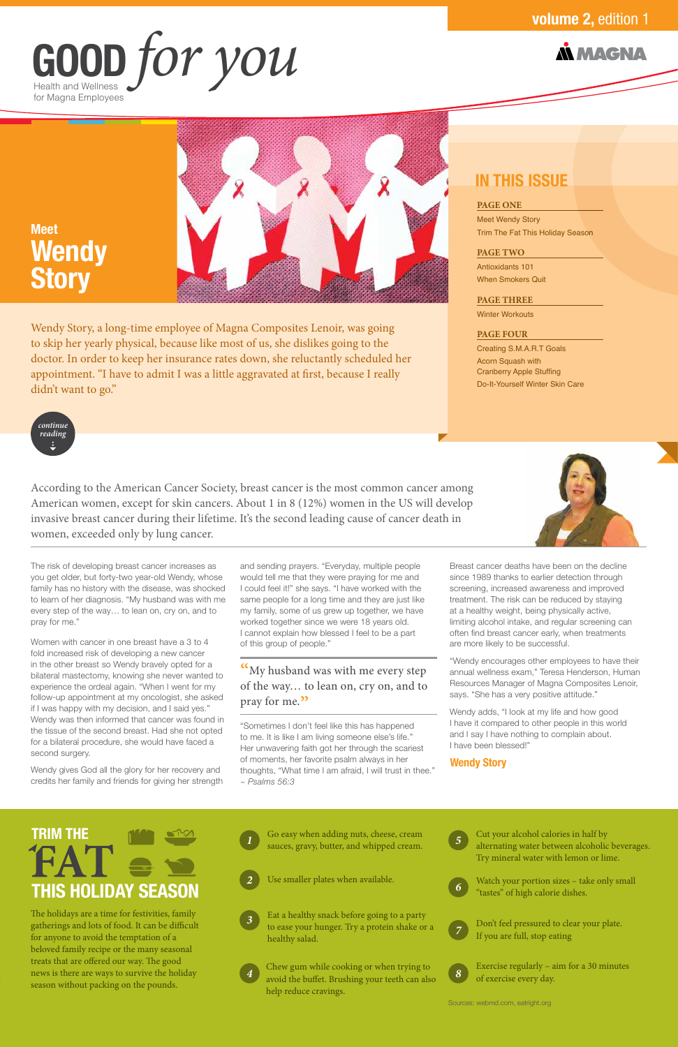#### **PAGE ONE**

Meet Wendy Story Trim The Fat This Holiday Season

#### **PAGE TWO**

Antioxidants 101 When Smokers Quit

#### **PAGE THREE**

Winter Workouts

#### **PAGE FOUR**

Creating S.M.A.R.T Goals Acorn Squash with Cranberry Apple Stuffing Do-It-Yourself Winter Skin Care

## Health and Wellness for Magna Employees **GOOD** *for you*

### **N MAGNA**

### **volume 2,** edition 1

### **IN THIS ISSUE**

Wendy Story, a long-time employee of Magna Composites Lenoir, was going to skip her yearly physical, because like most of us, she dislikes going to the doctor. In order to keep her insurance rates down, she reluctantly scheduled her appointment. "I have to admit I was a little aggravated at first, because I really didn't want to go."

## **Meet Wendy Story**



According to the American Cancer Society, breast cancer is the most common cancer among American women, except for skin cancers. About 1 in 8 (12%) women in the US will develop invasive breast cancer during their lifetime. It's the second leading cause of cancer death in women, exceeded only by lung cancer.



Don't feel pressured to clear your plate. If you are full, stop eating *7*



**8** Exercise regularly – aim for a 30 minutes of exercise every day.

**4** Chew gum while cooking or when trying to **8** Exercise regularly – aim for a 30 minutes avoid the buffet Brushing your teeth can also **8** of exercise every day avoid the buffet. Brushing your teeth can also help reduce cravings.

The holidays are a time for festivities, family gatherings and lots of food. It can be difficult for anyone to avoid the temptation of a beloved family recipe or the many seasonal treats that are offered our way. The good news is there are ways to survive the holiday season without packing on the pounds.

#### Sources: webmd.com, eatright.org





alternating water between alcoholic beverages. Try mineral water with lemon or lime.





*2* Use smaller plates when available. Watch your portion sizes – take only small "tastes" of high calorie dishes. *6*



Eat a healthy snack before going to a party to ease your hunger. Try a protein shake or a healthy salad.



# **TRIM THE THIS HOLIDAY SEASON**

The risk of developing breast cancer increases as you get older, but forty-two year-old Wendy, whose family has no history with the disease, was shocked to learn of her diagnosis. "My husband was with me every step of the way… to lean on, cry on, and to pray for me."

Women with cancer in one breast have a 3 to 4 fold increased risk of developing a new cancer in the other breast so Wendy bravely opted for a bilateral mastectomy, knowing she never wanted to experience the ordeal again. "When I went for my follow-up appointment at my oncologist, she asked if I was happy with my decision, and I said yes." Wendy was then informed that cancer was found in the tissue of the second breast. Had she not opted for a bilateral procedure, she would have faced a second surgery.

Wendy gives God all the glory for her recovery and credits her family and friends for giving her strength and sending prayers. "Everyday, multiple people would tell me that they were praying for me and I could feel it!" she says. "I have worked with the same people for a long time and they are just like my family, some of us grew up together, we have worked together since we were 18 years old. I cannot explain how blessed I feel to be a part of this group of people."

"My husband was with me every step of the way… to lean on, cry on, and to pray for me."

"Sometimes I don't feel like this has happened to me. It is like I am living someone else's life." Her unwavering faith got her through the scariest of moments, her favorite psalm always in her thoughts, "What time I am afraid, I will trust in thee." *~ Psalms 56:3*

Breast cancer deaths have been on the decline since 1989 thanks to earlier detection through screening, increased awareness and improved treatment. The risk can be reduced by staying at a healthy weight, being physically active, limiting alcohol intake, and regular screening can often find breast cancer early, when treatments are more likely to be successful.

"Wendy encourages other employees to have their annual wellness exam," Teresa Henderson, Human Resources Manager of Magna Composites Lenoir, says. "She has a very positive attitude."

Wendy adds, "I look at my life and how good I have it compared to other people in this world and I say I have nothing to complain about. I have been blessed!"

#### **Wendy Story**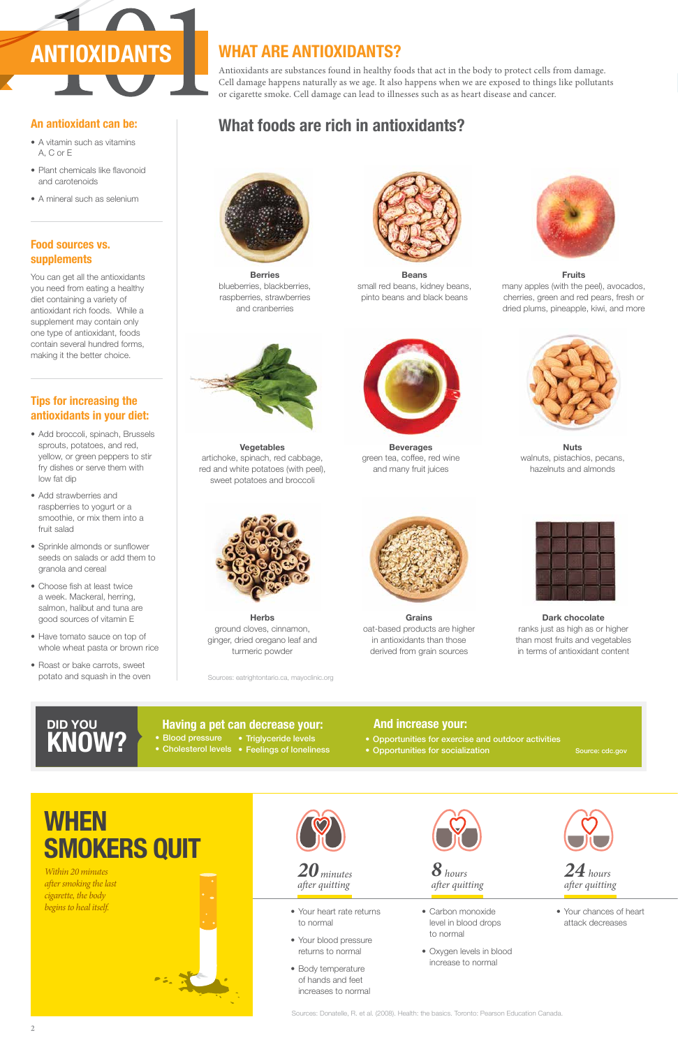#### **Having a pet can decrease your: And increase your:**

- Blood pressure Triglyceride levels
- Cholesterol levels Feelings of loneliness

## **DID YOU KNOW?**

- Your heart rate returns to normal
- Your blood pressure returns to normal
- Body temperature of hands and feet increases to normal



- Your chances of heart attack decreases
- Sources: Donatelle, R. et al. (2008). Health: the basics. Toronto: Pearson Education Canada.

*after quitting 20 minutes* 

- Carbon monoxide level in blood drops to normal
- Oxygen levels in blood increase to normal



*after quitting 8 hours*

*after quitting 24 hours*

# **WHEN SMOKERS QUIT**

*Within 20 minutes after smoking the last cigarette, the body begins to heal itself.* 







Antioxidants are substances found in healthy foods that act in the body to protect cells from damage. Cell damage happens naturally as we age. It also happens when we are exposed to things like pollutants or cigarette smoke. Cell damage can lead to illnesses such as as heart disease and cancer.

## **WHAT ARE ANTIOXIDANTS?**

## **What foods are rich in antioxidants?**



**Berries** blueberries, blackberries, raspberries, strawberries and cranberries



**Beans** small red beans, kidney beans, pinto beans and black beans



**Vegetables** artichoke, spinach, red cabbage, red and white potatoes (with peel), sweet potatoes and broccoli



**Herbs** ground cloves, cinnamon, ginger, dried oregano leaf and turmeric powder

- Opportunities for exercise and outdoor activities • Opportunities for socialization
	- Source: cdc.gov

**Grains** oat-based products are higher in antioxidants than those derived from grain sources



**Dark chocolate** ranks just as high as or higher than most fruits and vegetables in terms of antioxidant content



**Beverages** green tea, coffee, red wine and many fruit juices



**Nuts** walnuts, pistachios, pecans, hazelnuts and almonds



**Fruits** many apples (with the peel), avocados, cherries, green and red pears, fresh or dried plums, pineapple, kiwi, and more

#### **Tips for increasing the antioxidants in your diet:**

- Add broccoli, spinach, Brussels sprouts, potatoes, and red, yellow, or green peppers to stir fry dishes or serve them with low fat dip
- Add strawberries and raspberries to yogurt or a smoothie, or mix them into a fruit salad
- Sprinkle almonds or sunflower seeds on salads or add them to granola and cereal
- Choose fish at least twice a week. Mackeral, herring, salmon, halibut and tuna are good sources of vitamin E
- Have tomato sauce on top of whole wheat pasta or brown rice
- Roast or bake carrots, sweet potato and squash in the oven

#### **An antioxidant can be:**

- A vitamin such as vitamins A, C or E
- Plant chemicals like flavonoid and carotenoids
- A mineral such as selenium

### **Food sources vs. supplements**

You can get all the antioxidants you need from eating a healthy diet containing a variety of antioxidant rich foods. While a supplement may contain only one type of antioxidant, foods contain several hundred forms, making it the better choice.

Sources: eatrightontario.ca, mayoclinic.org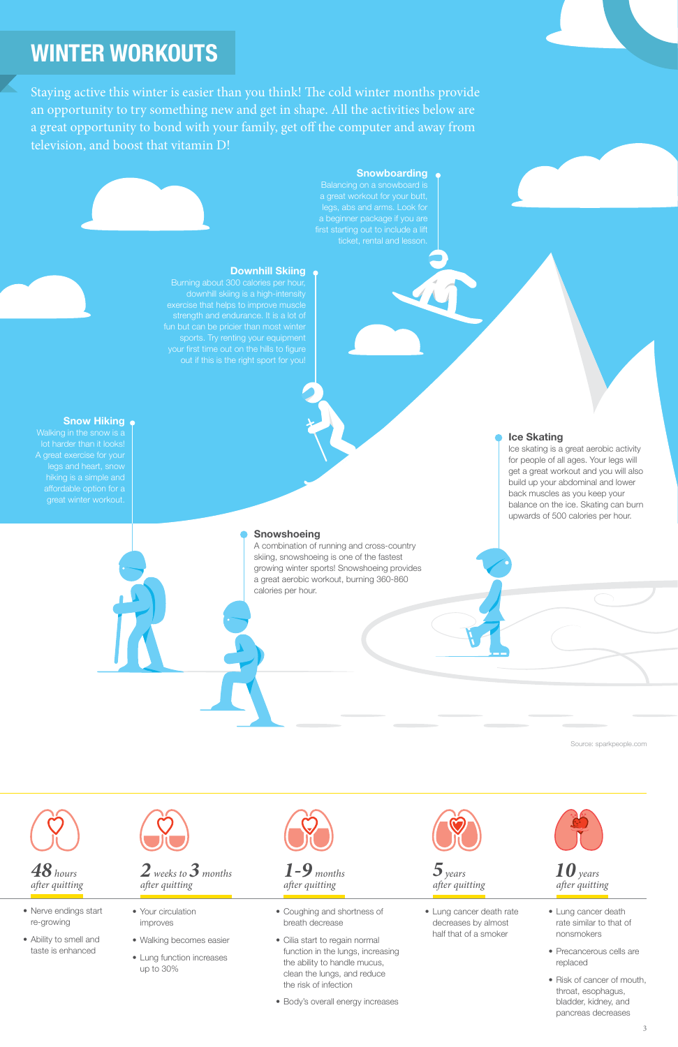- Nerve endings start re-growing
- Ability to smell and taste is enhanced





- Your circulation improves
- Walking becomes easier
- Lung function increases up to 30%



*after quitting 2 weeks to3 months*

- Coughing and shortness of breath decrease
- Cilia start to regain normal function in the lungs, increasing the ability to handle mucus, clean the lungs, and reduce the risk of infection
- Body's overall energy increases



*after quitting 1-9 months*

> • Lung cancer death rate decreases by almost half that of a smoker



*after quitting 5years*

- Lung cancer death rate similar to that of nonsmokers
- Precancerous cells are replaced
- Risk of cancer of mouth, throat, esophagus, bladder, kidney, and pancreas decreases

*after quitting 10 years*

## **WINTER WORKOUTS**

Staying active this winter is easier than you think! The cold winter months provide an opportunity to try something new and get in shape. All the activities below are a great opportunity to bond with your family, get off the computer and away from television, and boost that vitamin D!

legs and heart, snow affordable option for a

#### **Snowshoeing**

A combination of running and cross-country skiing, snowshoeing is one of the fastest growing winter sports! Snowshoeing provides a great aerobic workout, burning 360-860 calories per hour.

#### **Ice Skating**

Ice skating is a great aerobic activity for people of all ages. Your legs will get a great workout and you will also build up your abdominal and lower back muscles as you keep your balance on the ice. Skating can burn upwards of 500 calories per hour.

#### **Downhill Skiing**

downhill skiing is a high-intensity exercise that helps to improve muscle strength and endurance. It is a lot of sports. Try renting your equipment your first time out on the hills to figure out if this is the right sport for you!

#### **Snow Hiking**

#### **Snowboarding**

legs, abs and arms. Look for a beginner package if you are ticket, rental and lesson.